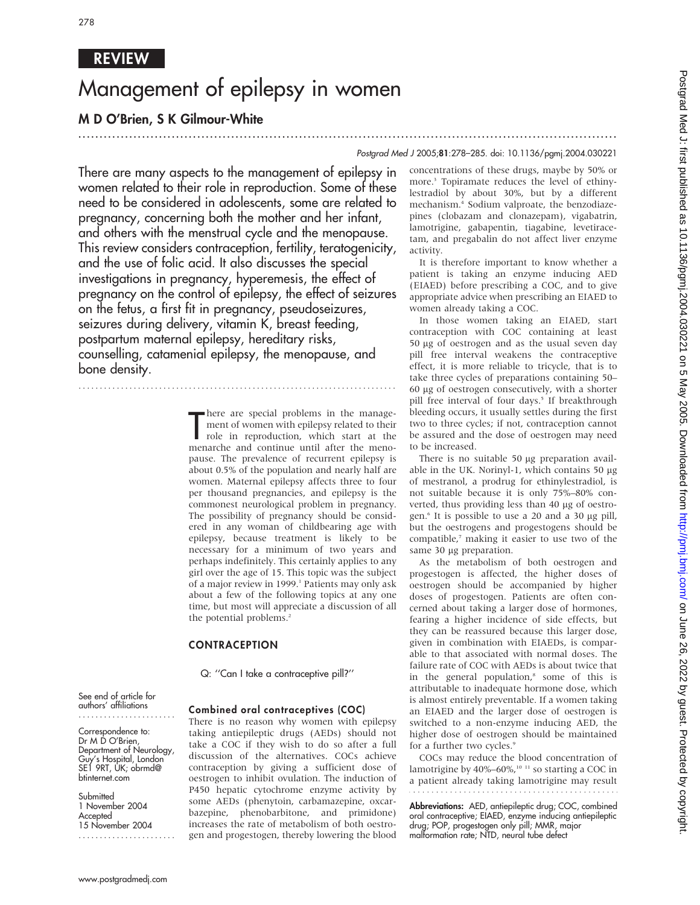## REVIEW

# Management of epilepsy in women

## M D O'Brien, S K Gilmour-White

...........................................................................

...............................................................................................................................

## Postgrad Med J 2005;81:278–285. doi: 10.1136/pgmj.2004.030221

There are many aspects to the management of epilepsy in women related to their role in reproduction. Some of these need to be considered in adolescents, some are related to pregnancy, concerning both the mother and her infant, and others with the menstrual cycle and the menopause. This review considers contraception, fertility, teratogenicity, and the use of folic acid. It also discusses the special investigations in pregnancy, hyperemesis, the effect of pregnancy on the control of epilepsy, the effect of seizures on the fetus, a first fit in pregnancy, pseudoseizures, seizures during delivery, vitamin K, breast feeding, postpartum maternal epilepsy, hereditary risks, counselling, catamenial epilepsy, the menopause, and bone density.

> There are special problems in the manage-<br>ment of women with epilepsy related to their<br>role in reproduction, which start at the<br>menarche and continue until after the meno**here** are special problems in the management of women with epilepsy related to their role in reproduction, which start at the pause. The prevalence of recurrent epilepsy is about 0.5% of the population and nearly half are women. Maternal epilepsy affects three to four per thousand pregnancies, and epilepsy is the commonest neurological problem in pregnancy. The possibility of pregnancy should be considered in any woman of childbearing age with epilepsy, because treatment is likely to be necessary for a minimum of two years and perhaps indefinitely. This certainly applies to any girl over the age of 15. This topic was the subject of a major review in 1999.<sup>1</sup> Patients may only ask about a few of the following topics at any one time, but most will appreciate a discussion of all the potential problems.<sup>2</sup>

#### **CONTRACEPTION**

Q: ''Can I take a contraceptive pill?''

#### Combined oral contraceptives (COC)

There is no reason why women with epilepsy taking antiepileptic drugs (AEDs) should not take a COC if they wish to do so after a full discussion of the alternatives. COCs achieve contraception by giving a sufficient dose of oestrogen to inhibit ovulation. The induction of P450 hepatic cytochrome enzyme activity by some AEDs (phenytoin, carbamazepine, oxcarbazepine, phenobarbitone, and primidone) increases the rate of metabolism of both oestrogen and progestogen, thereby lowering the blood concentrations of these drugs, maybe by 50% or more.3 Topiramate reduces the level of ethinylestradiol by about 30%, but by a different mechanism.4 Sodium valproate, the benzodiazepines (clobazam and clonazepam), vigabatrin, lamotrigine, gabapentin, tiagabine, levetiracetam, and pregabalin do not affect liver enzyme activity.

It is therefore important to know whether a patient is taking an enzyme inducing AED (EIAED) before prescribing a COC, and to give appropriate advice when prescribing an EIAED to women already taking a COC.

In those women taking an EIAED, start contraception with COC containing at least 50 µg of oestrogen and as the usual seven day pill free interval weakens the contraceptive effect, it is more reliable to tricycle, that is to take three cycles of preparations containing 50– 60 mg of oestrogen consecutively, with a shorter pill free interval of four days.<sup>5</sup> If breakthrough bleeding occurs, it usually settles during the first two to three cycles; if not, contraception cannot be assured and the dose of oestrogen may need to be increased.

There is no suitable 50 µg preparation available in the UK. Norinyl-1, which contains 50 µg of mestranol, a prodrug for ethinylestradiol, is not suitable because it is only 75%–80% converted, thus providing less than 40 µg of oestrogen.<sup>6</sup> It is possible to use a 20 and a 30 µg pill, but the oestrogens and progestogens should be compatible,<sup>7</sup> making it easier to use two of the same 30 µg preparation.

As the metabolism of both oestrogen and progestogen is affected, the higher doses of oestrogen should be accompanied by higher doses of progestogen. Patients are often concerned about taking a larger dose of hormones, fearing a higher incidence of side effects, but they can be reassured because this larger dose, given in combination with EIAEDs, is comparable to that associated with normal doses. The failure rate of COC with AEDs is about twice that in the general population,<sup>8</sup> some of this is attributable to inadequate hormone dose, which is almost entirely preventable. If a women taking an EIAED and the larger dose of oestrogen is switched to a non-enzyme inducing AED, the higher dose of oestrogen should be maintained for a further two cycles.<sup>9</sup>

COCs may reduce the blood concentration of lamotrigine by  $40\% - 60\%$ ,<sup>10 11</sup> so starting a COC in a patient already taking lamotrigine may result

Abbreviations: AED, antiepileptic drug; COC, combined oral contraceptive; EIAED, enzyme inducing antiepileptic drug; POP, progestogen only pill; MMR, major malformation rate; NTD, neural tube defect

See end of article for authors' affiliations .......................

Correspondence to: Dr M D O'Brien, Department of Neurology, Guy's Hospital, London SE1 9RT, UK; obrmd@ btinternet.com

**Submitted** 1 November 2004 **Accepted** 15 November 2004 .......................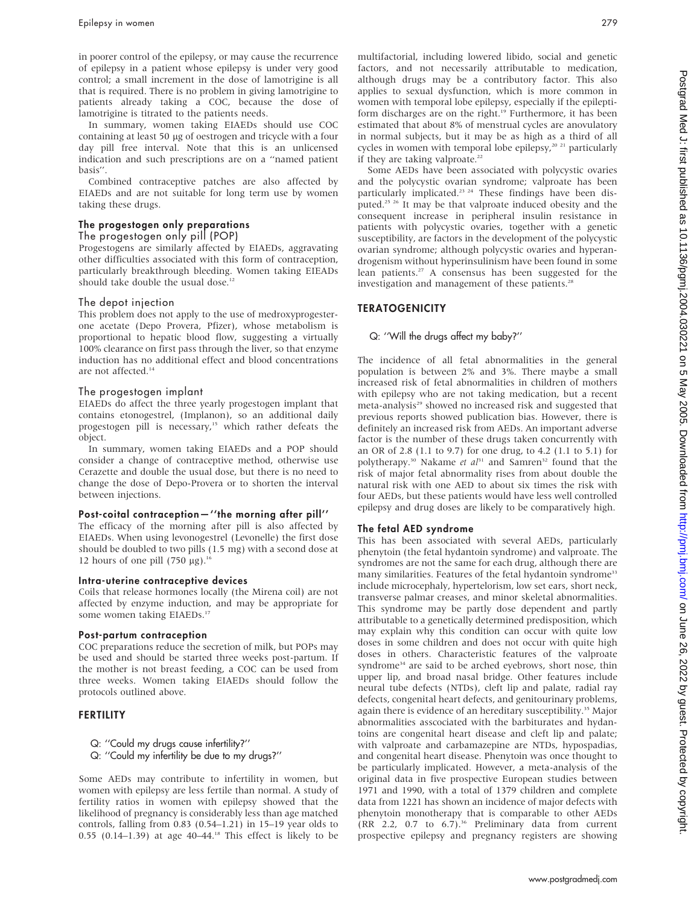in poorer control of the epilepsy, or may cause the recurrence of epilepsy in a patient whose epilepsy is under very good control; a small increment in the dose of lamotrigine is all that is required. There is no problem in giving lamotrigine to patients already taking a COC, because the dose of lamotrigine is titrated to the patients needs.

In summary, women taking EIAEDs should use COC containing at least 50 µg of oestrogen and tricycle with a four day pill free interval. Note that this is an unlicensed indication and such prescriptions are on a ''named patient basis''.

Combined contraceptive patches are also affected by EIAEDs and are not suitable for long term use by women taking these drugs.

#### The progestogen only preparations The progestogen only pill (POP)

Progestogens are similarly affected by EIAEDs, aggravating other difficulties associated with this form of contraception, particularly breakthrough bleeding. Women taking EIEADs should take double the usual dose.<sup>12</sup>

## The depot injection

This problem does not apply to the use of medroxyprogesterone acetate (Depo Provera, Pfizer), whose metabolism is proportional to hepatic blood flow, suggesting a virtually 100% clearance on first pass through the liver, so that enzyme induction has no additional effect and blood concentrations are not affected.<sup>14</sup>

## The progestogen implant

EIAEDs do affect the three yearly progestogen implant that contains etonogestrel, (Implanon), so an additional daily progestogen pill is necessary,<sup>15</sup> which rather defeats the object.

In summary, women taking EIAEDs and a POP should consider a change of contraceptive method, otherwise use Cerazette and double the usual dose, but there is no need to change the dose of Depo-Provera or to shorten the interval between injections.

## Post-coital contraception—''the morning after pill''

The efficacy of the morning after pill is also affected by EIAEDs. When using levonogestrel (Levonelle) the first dose should be doubled to two pills (1.5 mg) with a second dose at 12 hours of one pill (750  $\mu$ g).<sup>1</sup>

## Intra-uterine contraceptive devices

Coils that release hormones locally (the Mirena coil) are not affected by enzyme induction, and may be appropriate for some women taking EIAEDs.<sup>17</sup>

## Post-partum contraception

COC preparations reduce the secretion of milk, but POPs may be used and should be started three weeks post-partum. If the mother is not breast feeding, a COC can be used from three weeks. Women taking EIAEDs should follow the protocols outlined above.

## **FERTILITY**

- Q: ''Could my drugs cause infertility?''
- Q: ''Could my infertility be due to my drugs?''

Some AEDs may contribute to infertility in women, but women with epilepsy are less fertile than normal. A study of fertility ratios in women with epilepsy showed that the likelihood of pregnancy is considerably less than age matched controls, falling from 0.83 (0.54–1.21) in 15–19 year olds to 0.55 (0.14–1.39) at age 40–44.<sup>18</sup> This effect is likely to be

multifactorial, including lowered libido, social and genetic factors, and not necessarily attributable to medication, although drugs may be a contributory factor. This also applies to sexual dysfunction, which is more common in women with temporal lobe epilepsy, especially if the epileptiform discharges are on the right.<sup>19</sup> Furthermore, it has been estimated that about 8% of menstrual cycles are anovulatory in normal subjects, but it may be as high as a third of all cycles in women with temporal lobe epilepsy,<sup>20 21</sup> particularly if they are taking valproate. $22$ 

Some AEDs have been associated with polycystic ovaries and the polycystic ovarian syndrome; valproate has been particularly implicated.<sup>23 24</sup> These findings have been disputed.<sup>25 26</sup> It may be that valproate induced obesity and the consequent increase in peripheral insulin resistance in patients with polycystic ovaries, together with a genetic susceptibility, are factors in the development of the polycystic ovarian syndrome; although polycystic ovaries and hyperandrogenism without hyperinsulinism have been found in some lean patients.<sup>27</sup> A consensus has been suggested for the investigation and management of these patients.<sup>28</sup>

## **TERATOGENICITY**

## Q: ''Will the drugs affect my baby?''

The incidence of all fetal abnormalities in the general population is between 2% and 3%. There maybe a small increased risk of fetal abnormalities in children of mothers with epilepsy who are not taking medication, but a recent meta-analysis<sup>29</sup> showed no increased risk and suggested that previous reports showed publication bias. However, there is definitely an increased risk from AEDs. An important adverse factor is the number of these drugs taken concurrently with an OR of 2.8 (1.1 to 9.7) for one drug, to 4.2 (1.1 to 5.1) for polytherapy.<sup>30</sup> Nakame et  $al^{31}$  and Samren<sup>32</sup> found that the risk of major fetal abnormality rises from about double the natural risk with one AED to about six times the risk with four AEDs, but these patients would have less well controlled epilepsy and drug doses are likely to be comparatively high.

## The fetal AED syndrome

This has been associated with several AEDs, particularly phenytoin (the fetal hydantoin syndrome) and valproate. The syndromes are not the same for each drug, although there are many similarities. Features of the fetal hydantoin syndrome<sup>33</sup> include microcephaly, hypertelorism, low set ears, short neck, transverse palmar creases, and minor skeletal abnormalities. This syndrome may be partly dose dependent and partly attributable to a genetically determined predisposition, which may explain why this condition can occur with quite low doses in some children and does not occur with quite high doses in others. Characteristic features of the valproate syndrome<sup>34</sup> are said to be arched eyebrows, short nose, thin upper lip, and broad nasal bridge. Other features include neural tube defects (NTDs), cleft lip and palate, radial ray defects, congenital heart defects, and genitourinary problems, again there is evidence of an hereditary susceptibility.<sup>35</sup> Major abnormalities asscociated with the barbiturates and hydantoins are congenital heart disease and cleft lip and palate; with valproate and carbamazepine are NTDs, hypospadias, and congenital heart disease. Phenytoin was once thought to be particularly implicated. However, a meta-analysis of the original data in five prospective European studies between 1971 and 1990, with a total of 1379 children and complete data from 1221 has shown an incidence of major defects with phenytoin monotherapy that is comparable to other AEDs  $(RR$  2.2, 0.7 to 6.7).<sup>36</sup> Preliminary data from current prospective epilepsy and pregnancy registers are showing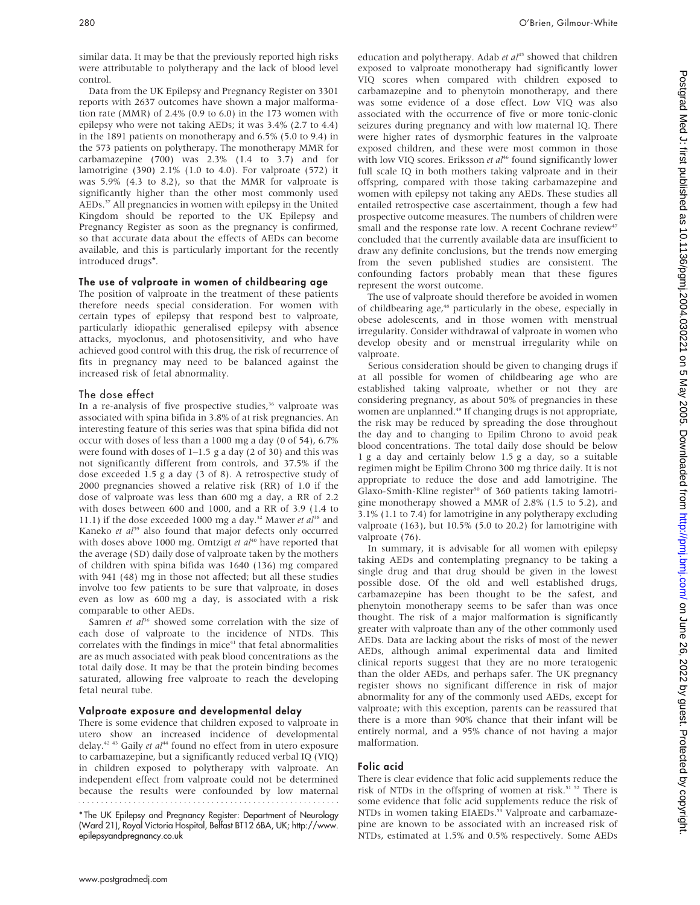Data from the UK Epilepsy and Pregnancy Register on 3301 reports with 2637 outcomes have shown a major malformation rate (MMR) of 2.4% (0.9 to 6.0) in the 173 women with epilepsy who were not taking AEDs; it was 3.4% (2.7 to 4.4) in the 1891 patients on monotherapy and 6.5% (5.0 to 9.4) in the 573 patients on polytherapy. The monotherapy MMR for carbamazepine (700) was 2.3% (1.4 to 3.7) and for lamotrigine (390) 2.1% (1.0 to 4.0). For valproate (572) it was 5.9% (4.3 to 8.2), so that the MMR for valproate is significantly higher than the other most commonly used AEDs.<sup>37</sup> All pregnancies in women with epilepsy in the United Kingdom should be reported to the UK Epilepsy and Pregnancy Register as soon as the pregnancy is confirmed, so that accurate data about the effects of AEDs can become available, and this is particularly important for the recently introduced drugs\*.

#### The use of valproate in women of childbearing age

The position of valproate in the treatment of these patients therefore needs special consideration. For women with certain types of epilepsy that respond best to valproate, particularly idiopathic generalised epilepsy with absence attacks, myoclonus, and photosensitivity, and who have achieved good control with this drug, the risk of recurrence of fits in pregnancy may need to be balanced against the increased risk of fetal abnormality.

#### The dose effect

In a re-analysis of five prospective studies,<sup>36</sup> valproate was associated with spina bifida in 3.8% of at risk pregnancies. An interesting feature of this series was that spina bifida did not occur with doses of less than a 1000 mg a day (0 of 54), 6.7% were found with doses of 1–1.5 g a day (2 of 30) and this was not significantly different from controls, and 37.5% if the dose exceeded 1.5 g a day (3 of 8). A retrospective study of 2000 pregnancies showed a relative risk (RR) of 1.0 if the dose of valproate was less than 600 mg a day, a RR of 2.2 with doses between 600 and 1000, and a RR of 3.9 (1.4 to 11.1) if the dose exceeded 1000 mg a day.<sup>32</sup> Mawer et  $al^{38}$  and Kaneko et  $a^{139}$  also found that major defects only occurred with doses above 1000 mg. Omtzigt et  $a^{140}$  have reported that the average (SD) daily dose of valproate taken by the mothers of children with spina bifida was 1640 (136) mg compared with 941 (48) mg in those not affected; but all these studies involve too few patients to be sure that valproate, in doses even as low as 600 mg a day, is associated with a risk comparable to other AEDs.

Samren et  $al^{36}$  showed some correlation with the size of each dose of valproate to the incidence of NTDs. This correlates with the findings in mice<sup>41</sup> that fetal abnormalities are as much associated with peak blood concentrations as the total daily dose. It may be that the protein binding becomes saturated, allowing free valproate to reach the developing fetal neural tube.

#### Valproate exposure and developmental delay

There is some evidence that children exposed to valproate in utero show an increased incidence of developmental delay.<sup>42 43</sup> Gaily et al<sup>44</sup> found no effect from in utero exposure to carbamazepine, but a significantly reduced verbal IQ (VIQ) in children exposed to polytherapy with valproate. An independent effect from valproate could not be determined because the results were confounded by low maternal 

\* The UK Epilepsy and Pregnancy Register: Department of Neurology (Ward 21), Royal Victoria Hospital, Belfast BT12 6BA, UK; http://www. epilepsyandpregnancy.co.uk

education and polytherapy. Adab et  $al^{45}$  showed that children exposed to valproate monotherapy had significantly lower VIQ scores when compared with children exposed to carbamazepine and to phenytoin monotherapy, and there was some evidence of a dose effect. Low VIQ was also associated with the occurrence of five or more tonic-clonic seizures during pregnancy and with low maternal IQ. There were higher rates of dysmorphic features in the valproate exposed children, and these were most common in those with low VIQ scores. Eriksson et  $al^{46}$  found significantly lower full scale IQ in both mothers taking valproate and in their offspring, compared with those taking carbamazepine and women with epilepsy not taking any AEDs. These studies all entailed retrospective case ascertainment, though a few had prospective outcome measures. The numbers of children were small and the response rate low. A recent Cochrane review<sup>47</sup> concluded that the currently available data are insufficient to draw any definite conclusions, but the trends now emerging from the seven published studies are consistent. The confounding factors probably mean that these figures represent the worst outcome.

The use of valproate should therefore be avoided in women of childbearing age,<sup>48</sup> particularly in the obese, especially in obese adolescents, and in those women with menstrual irregularity. Consider withdrawal of valproate in women who develop obesity and or menstrual irregularity while on valproate.

Serious consideration should be given to changing drugs if at all possible for women of childbearing age who are established taking valproate, whether or not they are considering pregnancy, as about 50% of pregnancies in these women are unplanned.<sup>49</sup> If changing drugs is not appropriate, the risk may be reduced by spreading the dose throughout the day and to changing to Epilim Chrono to avoid peak blood concentrations. The total daily dose should be below 1 g a day and certainly below 1.5 g a day, so a suitable regimen might be Epilim Chrono 300 mg thrice daily. It is not appropriate to reduce the dose and add lamotrigine. The Glaxo-Smith-Kline register<sup>50</sup> of 360 patients taking lamotrigine monotherapy showed a MMR of 2.8% (1.5 to 5.2), and 3.1% (1.1 to 7.4) for lamotrigine in any polytherapy excluding valproate (163), but 10.5% (5.0 to 20.2) for lamotrigine with valproate (76).

In summary, it is advisable for all women with epilepsy taking AEDs and contemplating pregnancy to be taking a single drug and that drug should be given in the lowest possible dose. Of the old and well established drugs, carbamazepine has been thought to be the safest, and phenytoin monotherapy seems to be safer than was once thought. The risk of a major malformation is significantly greater with valproate than any of the other commonly used AEDs. Data are lacking about the risks of most of the newer AEDs, although animal experimental data and limited clinical reports suggest that they are no more teratogenic than the older AEDs, and perhaps safer. The UK pregnancy register shows no significant difference in risk of major abnormality for any of the commonly used AEDs, except for valproate; with this exception, parents can be reassured that there is a more than 90% chance that their infant will be entirely normal, and a 95% chance of not having a major malformation.

## Folic acid

There is clear evidence that folic acid supplements reduce the risk of NTDs in the offspring of women at risk.<sup>51 52</sup> There is some evidence that folic acid supplements reduce the risk of NTDs in women taking EIAEDs.<sup>53</sup> Valproate and carbamazepine are known to be associated with an increased risk of NTDs, estimated at 1.5% and 0.5% respectively. Some AEDs

www.postgradmedj.com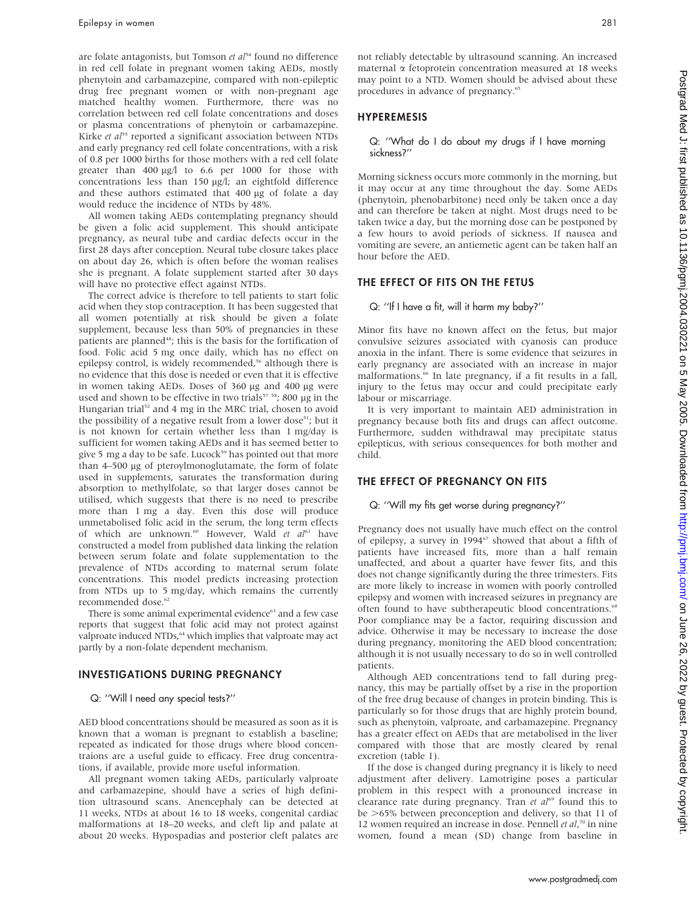are folate antagonists, but Tomson et  $al^{54}$  found no difference in red cell folate in pregnant women taking AEDs, mostly phenytoin and carbamazepine, compared with non-epileptic drug free pregnant women or with non-pregnant age matched healthy women. Furthermore, there was no correlation between red cell folate concentrations and doses or plasma concentrations of phenytoin or carbamazepine. Kirke et al<sup>55</sup> reported a significant association between NTDs and early pregnancy red cell folate concentrations, with a risk of 0.8 per 1000 births for those mothers with a red cell folate greater than 400 µg/l to 6.6 per 1000 for those with concentrations less than 150 µg/l; an eightfold difference and these authors estimated that 400 µg of folate a day would reduce the incidence of NTDs by 48%.

All women taking AEDs contemplating pregnancy should be given a folic acid supplement. This should anticipate pregnancy, as neural tube and cardiac defects occur in the first 28 days after conception. Neural tube closure takes place on about day 26, which is often before the woman realises she is pregnant. A folate supplement started after 30 days will have no protective effect against NTDs.

The correct advice is therefore to tell patients to start folic acid when they stop contraception. It has been suggested that all women potentially at risk should be given a folate supplement, because less than 50% of pregnancies in these patients are planned<sup>48</sup>; this is the basis for the fortification of food. Folic acid 5 mg once daily, which has no effect on epilepsy control, is widely recommended,<sup>56</sup> although there is no evidence that this dose is needed or even that it is effective in women taking AEDs. Doses of 360 µg and 400 µg were used and shown to be effective in two trials<sup>57</sup>  $58$ ; 800 µg in the Hungarian trial<sup>52</sup> and 4 mg in the MRC trial, chosen to avoid the possibility of a negative result from a lower dose<sup>51</sup>; but it is not known for certain whether less than 1 mg/day is sufficient for women taking AEDs and it has seemed better to give 5 mg a day to be safe. Lucock<sup>59</sup> has pointed out that more than 4–500 µg of pteroylmonoglutamate, the form of folate used in supplements, saturates the transformation during absorption to methylfolate, so that larger doses cannot be utilised, which suggests that there is no need to prescribe more than 1 mg a day. Even this dose will produce unmetabolised folic acid in the serum, the long term effects of which are unknown.<sup>60</sup> However, Wald et al<sup>61</sup> have constructed a model from published data linking the relation between serum folate and folate supplementation to the prevalence of NTDs according to maternal serum folate concentrations. This model predicts increasing protection from NTDs up to 5 mg/day, which remains the currently recommended dose.<sup>62</sup>

There is some animal experimental evidence<sup>63</sup> and a few case reports that suggest that folic acid may not protect against valproate induced NTDs,<sup>64</sup> which implies that valproate may act partly by a non-folate dependent mechanism.

#### INVESTIGATIONS DURING PREGNANCY

#### Q: ''Will I need any special tests?''

AED blood concentrations should be measured as soon as it is known that a woman is pregnant to establish a baseline; repeated as indicated for those drugs where blood concentraions are a useful guide to efficacy. Free drug concentrations, if available, provide more useful information.

All pregnant women taking AEDs, particularly valproate and carbamazepine, should have a series of high definition ultrasound scans. Anencephaly can be detected at 11 weeks, NTDs at about 16 to 18 weeks, congenital cardiac malformations at 18–20 weeks, and cleft lip and palate at about 20 weeks. Hypospadias and posterior cleft palates are not reliably detectable by ultrasound scanning. An increased maternal  $\alpha$  fetoprotein concentration measured at 18 weeks may point to a NTD. Women should be advised about these procedures in advance of pregnancy.<sup>65</sup>

#### HYPEREMESIS

#### Q: ''What do I do about my drugs if I have morning sickness?''

Morning sickness occurs more commonly in the morning, but it may occur at any time throughout the day. Some AEDs (phenytoin, phenobarbitone) need only be taken once a day and can therefore be taken at night. Most drugs need to be taken twice a day, but the morning dose can be postponed by a few hours to avoid periods of sickness. If nausea and vomiting are severe, an antiemetic agent can be taken half an hour before the AED.

#### THE EFFECT OF FITS ON THE FETUS

#### Q: ''If I have a fit, will it harm my baby?''

Minor fits have no known affect on the fetus, but major convulsive seizures associated with cyanosis can produce anoxia in the infant. There is some evidence that seizures in early pregnancy are associated with an increase in major malformations.<sup>66</sup> In late pregnancy, if a fit results in a fall, injury to the fetus may occur and could precipitate early labour or miscarriage.

It is very important to maintain AED administration in pregnancy because both fits and drugs can affect outcome. Furthermore, sudden withdrawal may precipitate status epilepticus, with serious consequences for both mother and child.

#### THE EFFECT OF PREGNANCY ON FITS

#### Q: ''Will my fits get worse during pregnancy?''

Pregnancy does not usually have much effect on the control of epilepsy, a survey in 1994<sup>67</sup> showed that about a fifth of patients have increased fits, more than a half remain unaffected, and about a quarter have fewer fits, and this does not change significantly during the three trimesters. Fits are more likely to increase in women with poorly controlled epilepsy and women with increased seizures in pregnancy are often found to have subtherapeutic blood concentrations.<sup>68</sup> Poor compliance may be a factor, requiring discussion and advice. Otherwise it may be necessary to increase the dose during pregnancy, monitoring the AED blood concentration; although it is not usually necessary to do so in well controlled patients.

Although AED concentrations tend to fall during pregnancy, this may be partially offset by a rise in the proportion of the free drug because of changes in protein binding. This is particularly so for those drugs that are highly protein bound, such as phenytoin, valproate, and carbamazepine. Pregnancy has a greater effect on AEDs that are metabolised in the liver compared with those that are mostly cleared by renal excretion (table 1).

If the dose is changed during pregnancy it is likely to need adjustment after delivery. Lamotrigine poses a particular problem in this respect with a pronounced increase in clearance rate during pregnancy. Tran et  $al^{69}$  found this to be  $>65\%$  between preconception and delivery, so that 11 of 12 women required an increase in dose. Pennell et al,70 in nine women, found a mean (SD) change from baseline in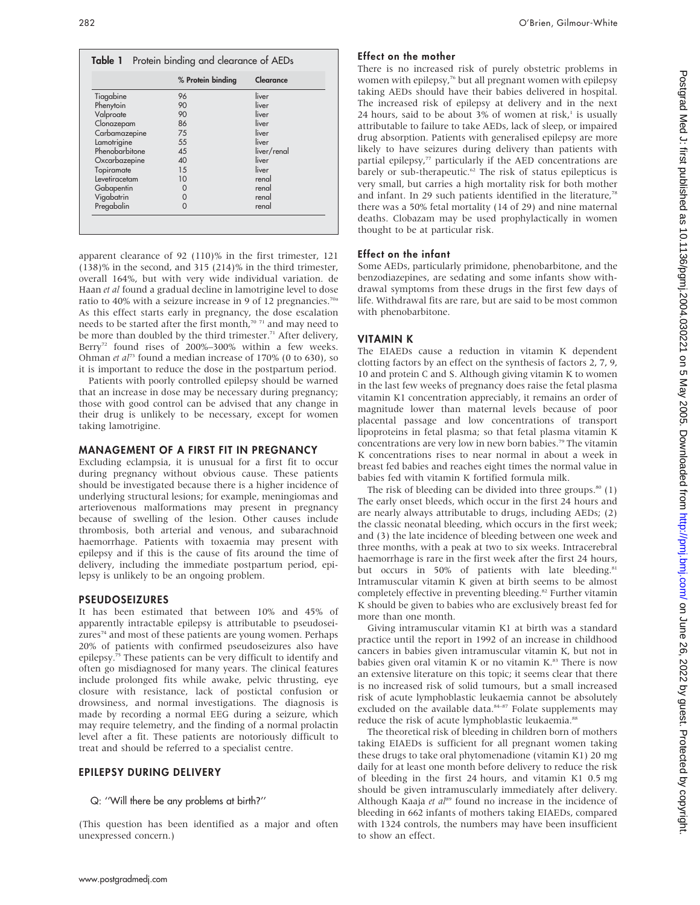|                | % Protein binding | Clearance   |
|----------------|-------------------|-------------|
| Tiagabine      | 96                | liver       |
| Phenytoin      | 90                | liver       |
| Valproate      | 90                | liver       |
| Clonazepam     | 86                | liver       |
| Carbamazepine  | 75                | liver       |
| Lamotrigine    | 55                | liver       |
| Phenobarbitone | 45                | liver/renal |
| Oxcarbazepine  | 40                | liver       |
| Topiramate     | 15                | liver       |
| Levetiracetam  | 10                | renal       |
| Gabapentin     | O                 | renal       |
| Vigabatrin     | Ω                 | renal       |
| Pregabalin     | Ω                 | renal       |

apparent clearance of 92 (110)% in the first trimester, 121 (138)% in the second, and 315 (214)% in the third trimester, overall 164%, but with very wide individual variation. de Haan et al found a gradual decline in lamotrigine level to dose ratio to 40% with a seizure increase in 9 of 12 pregnancies.<sup>70a</sup> As this effect starts early in pregnancy, the dose escalation needs to be started after the first month,<sup>70 71</sup> and may need to be more than doubled by the third trimester.<sup>71</sup> After delivery, Berry<sup>72</sup> found rises of 200%–300% within a few weeks. Ohman et  $al^{73}$  found a median increase of 170% (0 to 630), so it is important to reduce the dose in the postpartum period.

Patients with poorly controlled epilepsy should be warned that an increase in dose may be necessary during pregnancy; those with good control can be advised that any change in their drug is unlikely to be necessary, except for women taking lamotrigine.

#### MANAGEMENT OF A FIRST FIT IN PREGNANCY

Excluding eclampsia, it is unusual for a first fit to occur during pregnancy without obvious cause. These patients should be investigated because there is a higher incidence of underlying structural lesions; for example, meningiomas and arteriovenous malformations may present in pregnancy because of swelling of the lesion. Other causes include thrombosis, both arterial and venous, and subarachnoid haemorrhage. Patients with toxaemia may present with epilepsy and if this is the cause of fits around the time of delivery, including the immediate postpartum period, epilepsy is unlikely to be an ongoing problem.

#### PSEUDOSEIZURES

It has been estimated that between 10% and 45% of apparently intractable epilepsy is attributable to pseudoseizures<sup>74</sup> and most of these patients are young women. Perhaps 20% of patients with confirmed pseudoseizures also have epilepsy.75 These patients can be very difficult to identify and often go misdiagnosed for many years. The clinical features include prolonged fits while awake, pelvic thrusting, eye closure with resistance, lack of postictal confusion or drowsiness, and normal investigations. The diagnosis is made by recording a normal EEG during a seizure, which may require telemetry, and the finding of a normal prolactin level after a fit. These patients are notoriously difficult to treat and should be referred to a specialist centre.

### EPILEPSY DURING DELIVERY

#### Q: ''Will there be any problems at birth?''

(This question has been identified as a major and often unexpressed concern.)

#### Effect on the mother

There is no increased risk of purely obstetric problems in women with epilepsy,<sup>76</sup> but all pregnant women with epilepsy taking AEDs should have their babies delivered in hospital. The increased risk of epilepsy at delivery and in the next 24 hours, said to be about  $3\%$  of women at risk, $1$  is usually attributable to failure to take AEDs, lack of sleep, or impaired drug absorption. Patients with generalised epilepsy are more likely to have seizures during delivery than patients with partial epilepsy, $77$  particularly if the AED concentrations are barely or sub-therapeutic.<sup>62</sup> The risk of status epilepticus is very small, but carries a high mortality risk for both mother and infant. In 29 such patients identified in the literature,<sup>78</sup> there was a 50% fetal mortality (14 of 29) and nine maternal deaths. Clobazam may be used prophylactically in women thought to be at particular risk.

#### Effect on the infant

Some AEDs, particularly primidone, phenobarbitone, and the benzodiazepines, are sedating and some infants show withdrawal symptoms from these drugs in the first few days of life. Withdrawal fits are rare, but are said to be most common with phenobarbitone.

## VITAMIN K

The EIAEDs cause a reduction in vitamin K dependent clotting factors by an effect on the synthesis of factors 2, 7, 9, 10 and protein C and S. Although giving vitamin K to women in the last few weeks of pregnancy does raise the fetal plasma vitamin K1 concentration appreciably, it remains an order of magnitude lower than maternal levels because of poor placental passage and low concentrations of transport lipoproteins in fetal plasma; so that fetal plasma vitamin K concentrations are very low in new born babies.79 The vitamin K concentrations rises to near normal in about a week in breast fed babies and reaches eight times the normal value in babies fed with vitamin K fortified formula milk.

The risk of bleeding can be divided into three groups. $80$  (1) The early onset bleeds, which occur in the first 24 hours and are nearly always attributable to drugs, including AEDs; (2) the classic neonatal bleeding, which occurs in the first week; and (3) the late incidence of bleeding between one week and three months, with a peak at two to six weeks. Intracerebral haemorrhage is rare in the first week after the first 24 hours, but occurs in 50% of patients with late bleeding.<sup>81</sup> Intramuscular vitamin K given at birth seems to be almost completely effective in preventing bleeding.<sup>82</sup> Further vitamin K should be given to babies who are exclusively breast fed for more than one month.

Giving intramuscular vitamin K1 at birth was a standard practice until the report in 1992 of an increase in childhood cancers in babies given intramuscular vitamin K, but not in babies given oral vitamin K or no vitamin  $K^{\text{a}}$ . There is now an extensive literature on this topic; it seems clear that there is no increased risk of solid tumours, but a small increased risk of acute lymphoblastic leukaemia cannot be absolutely excluded on the available data. $84-87$  Folate supplements may reduce the risk of acute lymphoblastic leukaemia.<sup>88</sup>

The theoretical risk of bleeding in children born of mothers taking EIAEDs is sufficient for all pregnant women taking these drugs to take oral phytomenadione (vitamin K1) 20 mg daily for at least one month before delivery to reduce the risk of bleeding in the first 24 hours, and vitamin K1 0.5 mg should be given intramuscularly immediately after delivery. Although Kaaja et al<sup>89</sup> found no increase in the incidence of bleeding in 662 infants of mothers taking EIAEDs, compared with 1324 controls, the numbers may have been insufficient to show an effect.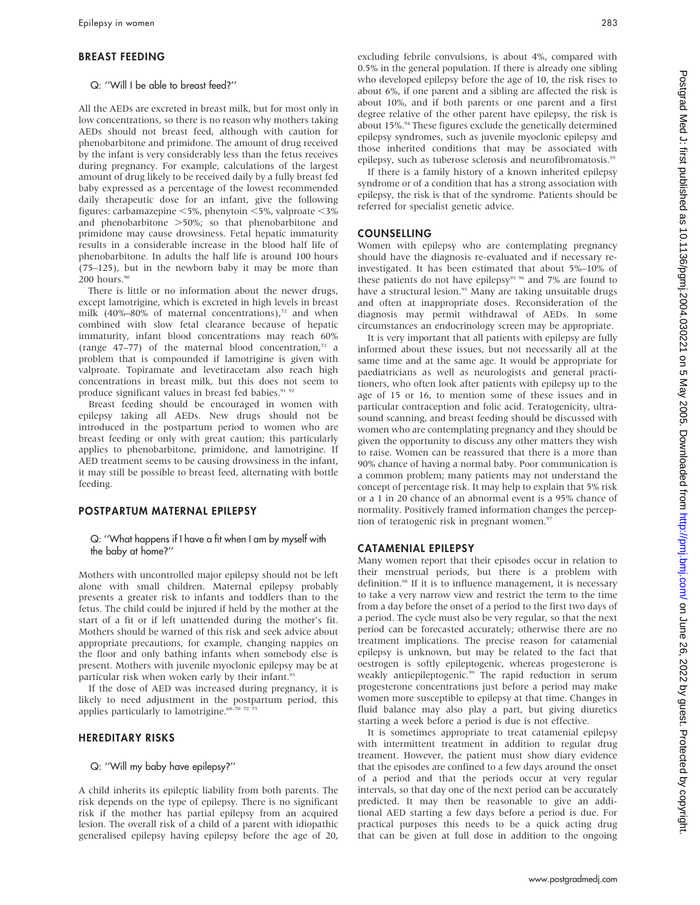#### BREAST FEEDING

#### Q: ''Will I be able to breast feed?''

All the AEDs are excreted in breast milk, but for most only in low concentrations, so there is no reason why mothers taking AEDs should not breast feed, although with caution for phenobarbitone and primidone. The amount of drug received by the infant is very considerably less than the fetus receives during pregnancy. For example, calculations of the largest amount of drug likely to be received daily by a fully breast fed baby expressed as a percentage of the lowest recommended daily therapeutic dose for an infant, give the following figures: carbamazepine  $<$  5%, phenytoin  $<$  5%, valproate  $<$  3% and phenobarbitone  $>50\%$ ; so that phenobarbitone and primidone may cause drowsiness. Fetal hepatic immaturity results in a considerable increase in the blood half life of phenobarbitone. In adults the half life is around 100 hours (75–125), but in the newborn baby it may be more than  $200$  hours.<sup>90</sup>

There is little or no information about the newer drugs, except lamotrigine, which is excreted in high levels in breast milk (40%–80% of maternal concentrations), $72$  and when combined with slow fetal clearance because of hepatic immaturity, infant blood concentrations may reach 60% (range  $47-77$ ) of the maternal blood concentration,<sup>72</sup> a problem that is compounded if lamotrigine is given with valproate. Topiramate and levetiracetam also reach high concentrations in breast milk, but this does not seem to produce significant values in breast fed babies.<sup>91 92</sup>

Breast feeding should be encouraged in women with epilepsy taking all AEDs. New drugs should not be introduced in the postpartum period to women who are breast feeding or only with great caution; this particularly applies to phenobarbitone, primidone, and lamotrigine. If AED treatment seems to be causing drowsiness in the infant, it may still be possible to breast feed, alternating with bottle feeding.

## POSTPARTUM MATERNAL EPILEPSY

#### Q: ''What happens if I have a fit when I am by myself with the baby at home?''

Mothers with uncontrolled major epilepsy should not be left alone with small children. Maternal epilepsy probably presents a greater risk to infants and toddlers than to the fetus. The child could be injured if held by the mother at the start of a fit or if left unattended during the mother's fit. Mothers should be warned of this risk and seek advice about appropriate precautions, for example, changing nappies on the floor and only bathing infants when somebody else is present. Mothers with juvenile myoclonic epilepsy may be at particular risk when woken early by their infant.<sup>93</sup>

If the dose of AED was increased during pregnancy, it is likely to need adjustment in the postpartum period, this applies particularly to lamotrigine.<sup>68-70</sup> <sup>72</sup> 73

#### HEREDITARY RISKS

#### Q: ''Will my baby have epilepsy?''

A child inherits its epileptic liability from both parents. The risk depends on the type of epilepsy. There is no significant risk if the mother has partial epilepsy from an acquired lesion. The overall risk of a child of a parent with idiopathic generalised epilepsy having epilepsy before the age of 20,

excluding febrile convulsions, is about 4%, compared with 0.5% in the general population. If there is already one sibling who developed epilepsy before the age of 10, the risk rises to about 6%, if one parent and a sibling are affected the risk is about 10%, and if both parents or one parent and a first degree relative of the other parent have epilepsy, the risk is about 15%.<sup>94</sup> These figures exclude the genetically determined epilepsy syndromes, such as juvenile myoclonic epilepsy and those inherited conditions that may be associated with epilepsy, such as tuberose sclerosis and neurofibromatosis.<sup>95</sup>

If there is a family history of a known inherited epilepsy syndrome or of a condition that has a strong association with epilepsy, the risk is that of the syndrome. Patients should be referred for specialist genetic advice.

#### COUNSELLING

Women with epilepsy who are contemplating pregnancy should have the diagnosis re-evaluated and if necessary reinvestigated. It has been estimated that about 5%–10% of these patients do not have epilepsy<sup>93 96</sup> and 7% are found to have a structural lesion.<sup>93</sup> Many are taking unsuitable drugs and often at inappropriate doses. Reconsideration of the diagnosis may permit withdrawal of AEDs. In some circumstances an endocrinology screen may be appropriate.

It is very important that all patients with epilepsy are fully informed about these issues, but not necessarily all at the same time and at the same age. It would be appropriate for paediatricians as well as neurologists and general practitioners, who often look after patients with epilepsy up to the age of 15 or 16, to mention some of these issues and in particular contraception and folic acid. Teratogenicity, ultrasound scanning, and breast feeding should be discussed with women who are contemplating pregnancy and they should be given the opportunity to discuss any other matters they wish to raise. Women can be reassured that there is a more than 90% chance of having a normal baby. Poor communication is a common problem; many patients may not understand the concept of percentage risk. It may help to explain that 5% risk or a 1 in 20 chance of an abnormal event is a 95% chance of normality. Positively framed information changes the perception of teratogenic risk in pregnant women.<sup>97</sup>

#### CATAMENIAL EPILEPSY

Many women report that their episodes occur in relation to their menstrual periods, but there is a problem with definition.<sup>98</sup> If it is to influence management, it is necessary to take a very narrow view and restrict the term to the time from a day before the onset of a period to the first two days of a period. The cycle must also be very regular, so that the next period can be forecasted accurately; otherwise there are no treatment implications. The precise reason for catamenial epilepsy is unknown, but may be related to the fact that oestrogen is softly epileptogenic, whereas progesterone is weakly antiepileptogenic.<sup>99</sup> The rapid reduction in serum progesterone concentrations just before a period may make women more susceptible to epilepsy at that time. Changes in fluid balance may also play a part, but giving diuretics starting a week before a period is due is not effective.

It is sometimes appropriate to treat catamenial epilepsy with intermittent treatment in addition to regular drug treament. However, the patient must show diary evidence that the episodes are confined to a few days around the onset of a period and that the periods occur at very regular intervals, so that day one of the next period can be accurately predicted. It may then be reasonable to give an additional AED starting a few days before a period is due. For practical purposes this needs to be a quick acting drug that can be given at full dose in addition to the ongoing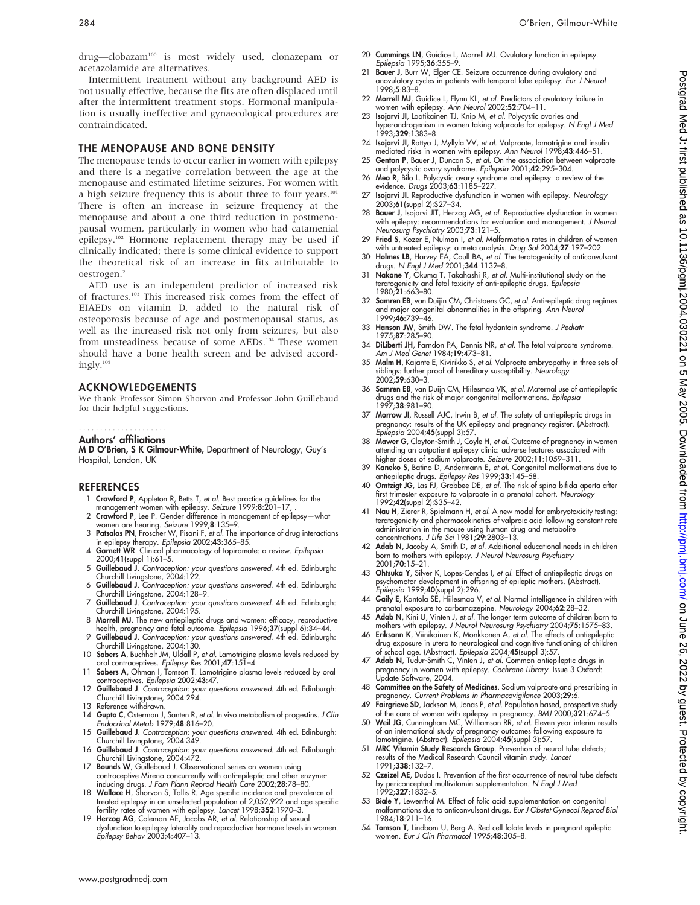Postgrad Med J: first published as 10.1136/pgmj.2004.030221 on 5 May 2005. Downloaded from http://pmj.com/ on June 26, 2022 by guest. Protected by copyright on June 26, 2022 by guest. Protected by guests and the state of the 26, 2002. Downloaded from Publishismi. bundished as 10.1136/pgmj. June 26, 2022 by guests Published as 10.1136/pgmj.2004.0302. Downloaded from 5 May 2007.

Intermittent treatment without any background AED is not usually effective, because the fits are often displaced until after the intermittent treatment stops. Hormonal manipulation is usually ineffective and gynaecological procedures are contraindicated.

#### THE MENOPAUSE AND BONE DENSITY

The menopause tends to occur earlier in women with epilepsy and there is a negative correlation between the age at the menopause and estimated lifetime seizures. For women with a high seizure frequency this is about three to four years.<sup>101</sup> There is often an increase in seizure frequency at the menopause and about a one third reduction in postmenopausal women, particularly in women who had catamenial epilepsy.102 Hormone replacement therapy may be used if clinically indicated; there is some clinical evidence to support the theoretical risk of an increase in fits attributable to oestrogen.2

AED use is an independent predictor of increased risk of fractures.103 This increased risk comes from the effect of EIAEDs on vitamin D, added to the natural risk of osteoporosis because of age and postmenopausal status, as well as the increased risk not only from seizures, but also from unsteadiness because of some AEDs.<sup>104</sup> These women should have a bone health screen and be advised accordingly.105

#### ACKNOWLEDGEMENTS

We thank Professor Simon Shorvon and Professor John Guillebaud for their helpful suggestions.

#### .....................

Authors' affiliations

M D O'Brien, S K Gilmour-White, Department of Neurology, Guy's Hospital, London, UK

#### REFERENCES

- 1 **Crawford P**, Appleton R, Betts T, *et al.* Best practice guidelines for the<br>management women with epilepsy. Seizure 1999;8:201–17, .<br>2 **Crawford P**, Lee P. Gender difference in management of epilepsy—what
- women are hearing. *Seizure* 1999;8:135–9.<br>3 Patsalos PN, Froscher W, Pisani F, *et al.* The importance of drug interactions
- in epilepsy therapy. Epilepsia 2002;43:365–85.
- 4 Garnett WR. Clinical pharmacology of topiramate: a review. Epilepsia 2000;41(suppl 1):61–5.
- 5 Guillebaud J. Contraception: your questions answered. 4th ed. Edinburgh: Churchill Livingstone, 2004:122.
- 6 Guillebaud J. Contraception: your questions answered. 4th ed. Edinburgh: Churchill Livingstone, 2004:128-9. 7 Guillebaud J. Contraception: your questions answered. 4th ed. Edinburgh:
- Churchill Livingstone, 2004:195.
- 8 Morrell MJ. The new antiepileptic drugs and women: efficacy, reproductive health, pregnancy and fetal outcome. Epilepsia 1996;37(suppl 6):34–44. 9 Guillebaud J. Contraception: your questions answered. 4th ed. Edinburgh:
- 
- Churchill Livingstone, 2004:130.<br>10 Sabers A, Buchholt JM, Uldall P, *et al.* Lamotrigine plasma levels reduced by<br>10 oral contraceptives. *Epilepsy Res* 2001;4**7**:151–4.
- 11 Sabers A, Ohman I, Tomson T. Lamotrigine plasma levels reduced by oral contraceptives. Epilepsia 2002;43:47.
- 12 Guillebaud J. Contraception: your questions answered. 4th ed. Edinburgh: Churchill Livingstone, 2004:294.
- 13 Reference withdrawn.
- 14 Gupta C, Osterman J, Santen R, et al. In vivo metabolism of progestins. J Clin Endocrinol Metab 1979;48:816–20. 15 Guillebaud J. Contraception: your questions answered. 4th ed. Edinburgh:
- Churchill Livingstone, 2004:349.
- 16 Guillebaud J. Contraception: your questions answered. 4th ed. Edinburgh: Churchill Livingstone, 2004:472. 17 **Bounds W**, Guillebaud J. Observational series on women using
- contraceptive Mirena concurrently with anti-epileptic and other enzymeinducing drugs. J Fam Plann Reprod Health Care 2002;28:78–80.
- 18 Wallace H, Shorvon S, Tallis R. Age specific incidence and prevalence of treated epilepsy in an unselected population of 2,052,922 and age specific fertility rates of women with epilepsy. Lancet 1998;352:1970–3. 19 Herzog AG, Coleman AE, Jacobs AR, et al. Relationship of sexual
- dysfunction to epilepsy laterality and reproductive hormone levels in women. Epilepsy Behav 2003;4:407–13.
- 20 Cummings LN, Guidice L, Morrell MJ. Ovulatory function in epilepsy. Epilepsia 1995;36:355–9.
- 21 Bauer J, Burr W, Elger CE. Seizure occurrence during ovulatory and anovulatory cycles in patients with temporal lobe epilepsy. Eur J Neurol 1998;5:83–8.
- 22 Morrell MJ, Guidice L, Flynn KL, et al. Predictors of ovulatory failure in women with epilepsy. Ann Neurol 2002;52:704–11.
- 23 Isojarvi JI, Laatikainen TJ, Knip M, et al. Polycystic ovaries and hyperandrogenism in women taking valproate for epilepsy. N Engl J Med 1993;329:1383–8.
- 24 Isojarvi JI, Rattya J, Myllyla VV, *et al*. Valproate, lamotrigine and insulin<br>mediated risks in women with epilepsy. A*nn Neurol* 1998;43:446–51.<br>25 **Genton P**, Bauer J, Duncan S, *et al*. On the association between va
- and polycystic ovary syndrome. Epilepsia 2001;42:295–304.
- 26 Meo R, Bilo L. Polycystic ovary syndrome and epilepsy: a review of the evidence. Drugs 2003;63:1185–227.
- 27 Isojarvi JI. Reproductive dysfunction in women with epilepsy. Neurology 2003;61(suppl 2):S27–34.
- 28 Bauer J, Isojarvi JIT, Herzog AG, et al. Reproductive dysfunction in women with epilepsy: recommendations for evaluation and management. J Neurol Neurosurg Psychiatry 2003;73:121-5.
- 29 Fried S, Kozer E, Nulman I, et al. Malformation rates in children of women with untreated epilepsy: a meta analysis. *Drug Saf* 2004;**27**:197–202.<br>30 Holmes LB, Harvey EA, Coull BA, *et al*. The teratogenicity of anticonvulsant
- drugs. N Engl J Med 2001;344:1132–8.
- 31 Nakane Y, Okuma T, Takahashi R, et al. Multi-institutional study on the teratogenicity and fetal toxicity of anti-epileptic drugs. Epilepsia 1980;21:663–80.
- 32 Samren EB, van Duijin CM, Christaens GC, et al. Anti-epileptic drug regimes and major congenital abnormalities in the offspring. Ann Neurol 1999;46:739–46.
- 33 Hanson JW, Smith DW. The fetal hydantoin syndrome. J Pediatr 1975;87:285–90.
- 34 DiLiberti JH, Farndon PA, Dennis NR, et al. The fetal valproate syndrome. Am J Med Genet 1984;19:473–81.
- 35 Malm H, Kajante E, Kivirikko S, et al. Valproate embryopathy in three sets of siblings: further proof of hereditary susceptibility. Neurology 2002;59:630–3.
- 36 Samren EB, van Duijn CM, Hiilesmaa VK, et al. Maternal use of antiepileptic drugs and the risk of major congenital malformations. Epilepsia 1997;38:981–90.
- 37 Morrow JI, Russell AJC, Irwin B, et al. The safety of antiepileptic drugs in pregnancy: results of the UK epilepsy and pregnancy register. (Abstract).<br>Epilepsia 2004;**45(**suppl 3):57.<br>38 Mawer G, Clayton-Smith J, Coyle H, *et al.* Outcome of pregnancy in women
- attending an outpatient epilepsy clinic: adverse features associated with higher doses of sodium valproate. Seizure 2002;11:1059–311.
- 39 Kaneko S, Batino D, Andermann E, et al. Congenital malformations due to antiepileptic drugs. Epilepsy Res 1999;33:145–58.
- 40 Omtzigt JG, Las FJ, Grobbee DE, et al. The risk of spina bifida aperta after first trimester exposure to valproate in a prenatal cohort. Neurology 1992;**42**(suppl 2):S35–42.
- 41 Nau H, Zierer R, Spielmann H, et al. A new model for embryotoxicity testing: teratogenicity and pharmacokinetics of valproic acid following constant rate administration in the mouse using human drug and metabolite<br>concentrations. *J Life Sci* 1981;**29**:2803–13.
- 42 Adab N, Jacoby A, Smith D, et al. Additional educational needs in children born to mothers with epilepsy. J Neurol Neurosurg Psychiatry  $2001;70:15-21.$
- 43 Ohtsuka Y, Silver K, Lopes-Cendes I, et al. Effect of antiepileptic drugs on psychomotor development in offspring of epileptic mothers. (Abstract). Epilepsia 1999;40(suppl 2):296.
- 44 Gaily E, Kantola SE, Hiilesmaa V, et al. Normal intelligence in children with
- prenatal exposure to carbamazepine. Neurology 2004;**62**:28–32.<br>45 **Adab N**, Kini U, Vinten J, et al. The longer term outcome of children born to<br>1575–83. mothers with epilepsy. J Neurol Neurosurg Psychiatry 2004;**75**:1575–
- 46 Eriksonn K, Viinikainen K, Monkkonen A, et al. The effects of antiepileptic drug exposure in utero to neurological and cognitive functioning of children of school age. (Abstract). Epilepsia 2004;45(suppl 3):57.
- 47 Adab N, Tudur-Smith C, Vinten J, et al. Common antiepileptic drugs in pregnancy in women with epilepsy. Cochrane Library. Issue 3 Oxford: Update Software, 2004.
- 48 Committee on the Safety of Medicines. Sodium valproate and prescribing in pregnancy. Current Problems in Pharmacovigilance 2003;29:6.
- 49 Fairgrieve SD, Jackson M, Jonas P, et al. Population based, prospective study
- of the care of women with epilepsy in pregnancy. BMJ 2000;321:674–5.<br>50 **Weil JG**, Cunningham MC, Williamson RR, *et al.* Eleven year interim results of an international study of pregnancy outcomes following exposure to la
- 51 MRC Vitamin Study Research Group. Prevention of neural tube defects; results of the Medical Research Council vitamin study. Lancet 1991;338:132–7.
- 52 Czeizel AE, Dudas I. Prevention of the first occurrence of neural tube defects by periconceptual multivitamin supplementation. N Engl J Med 1992;**327**:1832–5
- 53 Biale Y, Lewenthal M. Effect of folic acid supplementation on congenital malformations due to anticonvulsant drugs. Eur J Obstet Gynecol Reprod Biol 1984;18:211–16.
- 54 Tomson T, Lindbom U, Berg A. Red cell folate levels in pregnant epileptic women. Eur J Clin Pharmacol 1995;48:305–8.